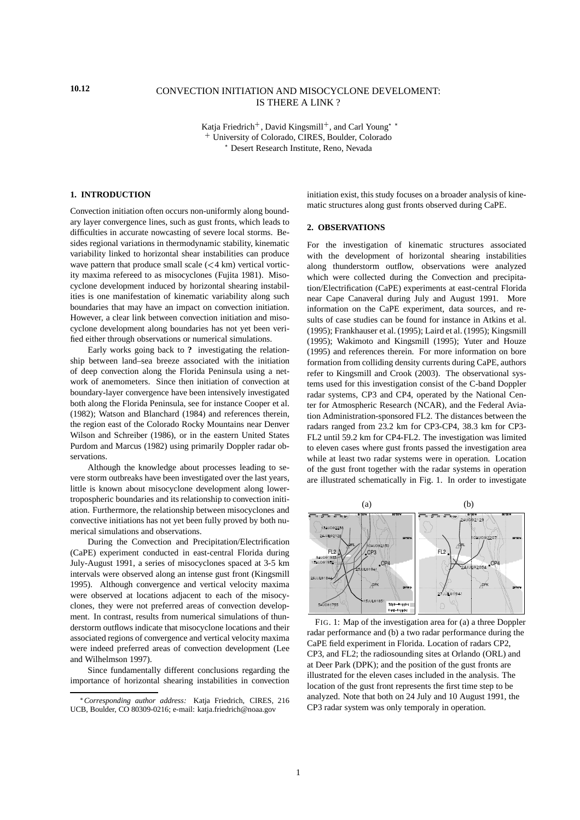# **10.12** CONVECTION INITIATION AND MISOCYCLONE DEVELOMENT: IS THERE A LINK ?

Katja Friedrich<sup>+</sup>, David Kingsmill<sup>+</sup>, and Carl Young<sup>\*</sup>\* <sup>+</sup> University of Colorado, CIRES, Boulder, Colorado ? Desert Research Institute, Reno, Nevada

# **1. INTRODUCTION**

Convection initiation often occurs non-uniformly along boundary layer convergence lines, such as gust fronts, which leads to difficulties in accurate nowcasting of severe local storms. Besides regional variations in thermodynamic stability, kinematic variability linked to horizontal shear instabilities can produce wave pattern that produce small scale  $(< 4 \text{ km})$  vertical vorticity maxima refereed to as misocyclones (Fujita 1981). Misocyclone development induced by horizontal shearing instabilities is one manifestation of kinematic variability along such boundaries that may have an impact on convection initiation. However, a clear link between convection initiation and misocyclone development along boundaries has not yet been verified either through observations or numerical simulations.

Early works going back to **?** investigating the relationship between land–sea breeze associated with the initiation of deep convection along the Florida Peninsula using a network of anemometers. Since then initiation of convection at boundary-layer convergence have been intensively investigated both along the Florida Peninsula, see for instance Cooper et al. (1982); Watson and Blanchard (1984) and references therein, the region east of the Colorado Rocky Mountains near Denver Wilson and Schreiber (1986), or in the eastern United States Purdom and Marcus (1982) using primarily Doppler radar observations.

Although the knowledge about processes leading to severe storm outbreaks have been investigated over the last years, little is known about misocyclone development along lowertropospheric boundaries and its relationship to convection initiation. Furthermore, the relationship between misocyclones and convective initiations has not yet been fully proved by both numerical simulations and observations.

During the Convection and Precipitation/Electrification (CaPE) experiment conducted in east-central Florida during July-August 1991, a series of misocyclones spaced at 3-5 km intervals were observed along an intense gust front (Kingsmill 1995). Although convergence and vertical velocity maxima were observed at locations adjacent to each of the misocyclones, they were not preferred areas of convection development. In contrast, results from numerical simulations of thunderstorm outflows indicate that misocyclone locations and their associated regions of convergence and vertical velocity maxima were indeed preferred areas of convection development (Lee and Wilhelmson 1997).

Since fundamentally different conclusions regarding the importance of horizontal shearing instabilities in convection

initiation exist, this study focuses on a broader analysis of kinematic structures along gust fronts observed during CaPE.

## **2. OBSERVATIONS**

For the investigation of kinematic structures associated with the development of horizontal shearing instabilities along thunderstorm outflow, observations were analyzed which were collected during the Convection and precipitation/Electrification (CaPE) experiments at east-central Florida near Cape Canaveral during July and August 1991. More information on the CaPE experiment, data sources, and results of case studies can be found for instance in Atkins et al. (1995); Frankhauser et al. (1995); Laird et al. (1995); Kingsmill (1995); Wakimoto and Kingsmill (1995); Yuter and Houze (1995) and references therein. For more information on bore formation from colliding density currents during CaPE, authors refer to Kingsmill and Crook (2003). The observational systems used for this investigation consist of the C-band Doppler radar systems, CP3 and CP4, operated by the National Center for Atmospheric Research (NCAR), and the Federal Aviation Administration-sponsored FL2. The distances between the radars ranged from 23.2 km for CP3-CP4, 38.3 km for CP3- FL2 until 59.2 km for CP4-FL2. The investigation was limited to eleven cases where gust fronts passed the investigation area while at least two radar systems were in operation. Location of the gust front together with the radar systems in operation are illustrated schematically in Fig. 1. In order to investigate



FIG. 1: Map of the investigation area for (a) a three Doppler radar performance and (b) a two radar performance during the CaPE field experiment in Florida. Location of radars CP2, CP3, and FL2; the radiosounding sites at Orlando (ORL) and at Deer Park (DPK); and the position of the gust fronts are illustrated for the eleven cases included in the analysis. The location of the gust front represents the first time step to be analyzed. Note that both on 24 July and 10 August 1991, the CP3 radar system was only temporaly in operation.

*Corresponding author address:* Katja Friedrich, CIRES, 216 UCB, Boulder, CO 80309-0216; e-mail: katja.friedrich@noaa.gov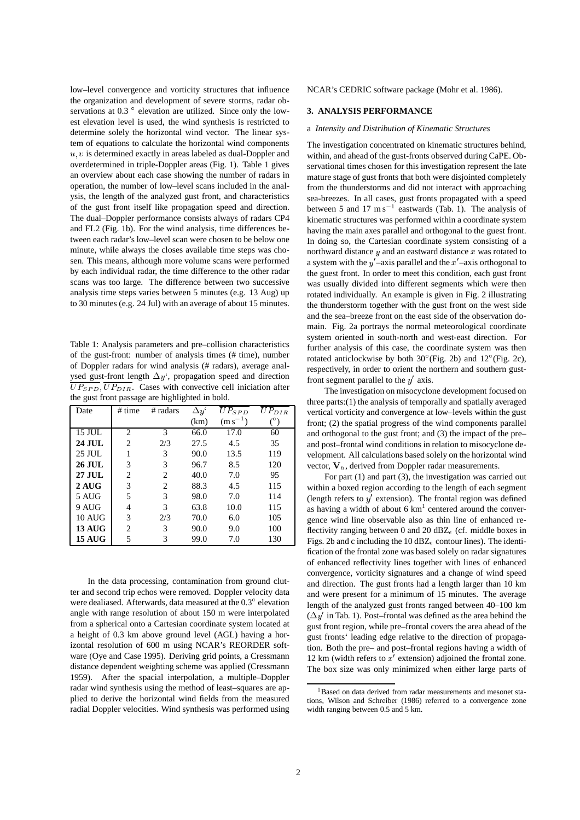low–level convergence and vorticity structures that influence the organization and development of severe storms, radar observations at 0.3 $\degree$  elevation are utilized. Since only the lowest elevation level is used, the wind synthesis is restricted to determine solely the horizontal wind vector. The linear system of equations to calculate the horizontal wind components  $u, v$  is determined exactly in areas labeled as dual-Doppler and overdetermined in triple-Doppler areas (Fig. 1). Table 1 gives an overview about each case showing the number of radars in operation, the number of low–level scans included in the analysis, the length of the analyzed gust front, and characteristics of the gust front itself like propagation speed and direction. The dual–Doppler performance consists always of radars CP4 and FL2 (Fig. 1b). For the wind analysis, time differences between each radar's low–level scan were chosen to be below one minute, while always the closes available time steps was chosen. This means, although more volume scans were performed by each individual radar, the time difference to the other radar scans was too large. The difference between two successive analysis time steps varies between 5 minutes (e.g. 13 Aug) up to 30 minutes (e.g. 24 Jul) with an average of about 15 minutes.

Table 1: Analysis parameters and pre–collision characteristics of the gust-front: number of analysis times (# time), number of Doppler radars for wind analysis (# radars), average analysed gust-front length  $\Delta y'$ , propagation speed and direction  $\overline{UP_{SPD}}, \overline{UP_{DIR}}.$  Cases with convective cell iniciation after the gust front passage are highlighted in bold.

| Date          | # time                        | # radars | $\Delta y^{\mathfrak{c}}$ | $UP_{SPD}$   | $UP_{DIR}$ |
|---------------|-------------------------------|----------|---------------------------|--------------|------------|
|               |                               |          | (km)                      | $(m s^{-1})$ |            |
| 15 JUL        | $\mathfrak{D}_{\mathfrak{p}}$ | 3        | 66.0                      | 17.0         | 60         |
| <b>24 JUL</b> | $\mathfrak{D}$                | 2/3      | 27.5                      | 4.5          | 35         |
| 25 JUL        |                               | 3        | 90.0                      | 13.5         | 119        |
| 26 JUL        | 3                             | 3        | 96.7                      | 8.5          | 120        |
| 27 JUL        | 2                             | 2        | 40.0                      | 7.0          | 95         |
| $2$ AUG       | 3                             | 2        | 88.3                      | 4.5          | 115        |
| 5 AUG         | 5                             | 3        | 98.0                      | 7.0          | 114        |
| 9 AUG         | 4                             | 3        | 63.8                      | 10.0         | 115        |
| $10$ AUG      | 3                             | 2/3      | 70.0                      | 6.0          | 105        |
| <b>13 AUG</b> | 2                             | 3        | 90.0                      | 9.0          | 100        |
| <b>15 AUG</b> | 5                             | 3        | 99.0                      | 7.0          | 130        |

In the data processing, contamination from ground clutter and second trip echos were removed. Doppler velocity data were dealiased. Afterwards, data measured at the  $0.3^{\circ}$  elevation angle with range resolution of about 150 m were interpolated from a spherical onto a Cartesian coordinate system located at a height of 0.3 km above ground level (AGL) having a horizontal resolution of 600 m using NCAR's REORDER software (Oye and Case 1995). Deriving grid points, a Cressmann distance dependent weighting scheme was applied (Cressmann 1959). After the spacial interpolation, a multiple–Doppler radar wind synthesis using the method of least–squares are applied to derive the horizontal wind fields from the measured radial Doppler velocities. Wind synthesis was performed using

NCAR's CEDRIC software package (Mohr et al. 1986).

### **3. ANALYSIS PERFORMANCE**

#### a *Intensity and Distribution of Kinematic Structures*

The investigation concentrated on kinematic structures behind, within, and ahead of the gust-fronts observed during CaPE. Observational times chosen for this investigation represent the late mature stage of gust fronts that both were disjointed completely from the thunderstorms and did not interact with approaching sea-breezes. In all cases, gust fronts propagated with a speed between 5 and  $17 \text{ m s}^{-1}$  eastwards (Tab. 1). The analysis of kinematic structures was performed within a coordinate system having the main axes parallel and orthogonal to the guest front. In doing so, the Cartesian coordinate system consisting of a northward distance  $y$  and an eastward distance  $x$  was rotated to a system with the  $y'$ –axis parallel and the  $x'$ –axis orthogonal to the guest front. In order to meet this condition, each gust front was usually divided into different segments which were then rotated individually. An example is given in Fig. 2 illustrating the thunderstorm together with the gust front on the west side and the sea–breeze front on the east side of the observation domain. Fig. 2a portrays the normal meteorological coordinate system oriented in south-north and west-east direction. For further analysis of this case, the coordinate system was then rotated anticlockwise by both  $30^{\circ}$  (Fig. 2b) and  $12^{\circ}$  (Fig. 2c), respectively, in order to orient the northern and southern gustfront segment parallel to the  $y'$  axis.

The investigation on misocyclone development focused on three parts:(1) the analysis of temporally and spatially averaged vertical vorticity and convergence at low–levels within the gust front; (2) the spatial progress of the wind components parallel and orthogonal to the gust front; and (3) the impact of the pre– and post–frontal wind conditions in relation to misocyclone development. All calculations based solely on the horizontal wind vector,  $V_h$ , derived from Doppler radar measurements.

For part (1) and part (3), the investigation was carried out within a boxed region according to the length of each segment (length refers to  $y'$  extension). The frontal region was defined as having a width of about 6  $km<sup>1</sup>$  centered around the convergence wind line observable also as thin line of enhanced reflectivity ranging between 0 and 20  $dBZ_e$  (cf. middle boxes in Figs. 2b and c including the 10  $\text{dBZ}_{e}$  contour lines). The identification of the frontal zone was based solely on radar signatures of enhanced reflectivity lines together with lines of enhanced convergence, vorticity signatures and a change of wind speed and direction. The gust fronts had a length larger than 10 km and were present for a minimum of 15 minutes. The average length of the analyzed gust fronts ranged between 40–100 km  $(\Delta y'$  in Tab. 1). Post–frontal was defined as the area behind the gust front region, while pre–frontal covers the area ahead of the gust fronts' leading edge relative to the direction of propagation. Both the pre– and post–frontal regions having a width of 12 km (width refers to  $x'$  extension) adjoined the frontal zone. The box size was only minimized when either large parts of

<sup>&</sup>lt;sup>1</sup>Based on data derived from radar measurements and mesonet stations, Wilson and Schreiber (1986) referred to a convergence zone width ranging between 0.5 and 5 km.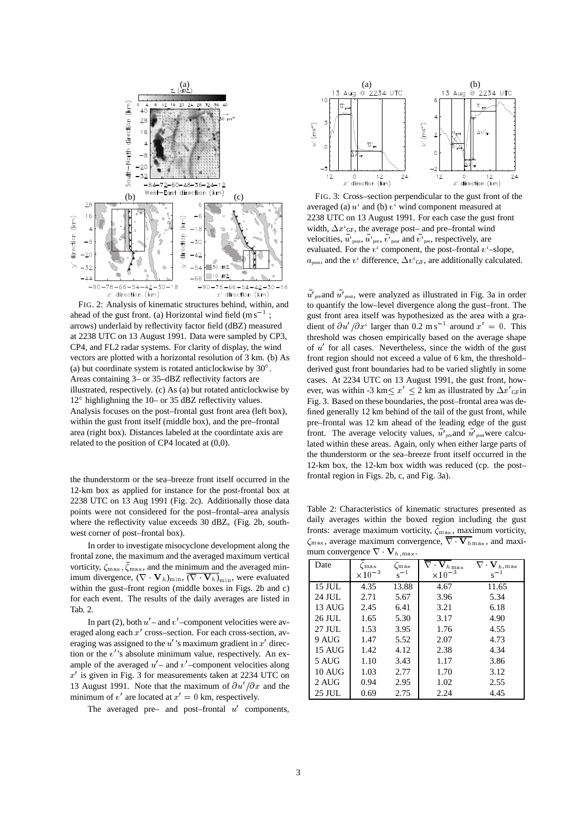

FIG. 2: Analysis of kinematic structures behind, within, and ahead of the gust front. (a) Horizontal wind field  $(m s^{-1})$ ; arrows) underlaid by reflectivity factor field (dBZ) measured at 2238 UTC on 13 August 1991. Data were sampled by CP3, CP4, and FL2 radar systems. For clarity of display, the wind vectors are plotted with a horizontal resolution of 3 km. (b) As (a) but coordinate system is rotated anticlockwise by  $30^{\circ}$ . Areas containing 3– or 35–dBZ reflectivity factors are illustrated, respectively. (c) As (a) but rotated anticlockwise by 12° highlighning the 10– or 35 dBZ reflectivity values. Analysis focuses on the post–frontal gust front area (left box), within the gust front itself (middle box), and the pre–frontal area (right box). Distances labeled at the coordintate axis are related to the position of CP4 located at (0,0).

the thunderstorm or the sea–breeze front itself occurred in the 12-km box as applied for instance for the post-frontal box at 2238 UTC on 13 Aug 1991 (Fig. 2c). Additionally those data points were not considered for the post–frontal–area analysis where the reflectivity value exceeds 30  $dBZ_e$  (Fig. 2b, southwest corner of post–frontal box).

In order to investigate misocyclone development along the frontal zone, the maximum and the averaged maximum vertical vorticity,  $\zeta_{\text{max}}$ ,  $\zeta_{\text{max}}$ , and the minimum and the averaged minimum divergence,  $(\nabla \cdot \mathbf{V}_h)_{\text{min}}$ ,  $(\nabla \cdot \mathbf{V}_h)_{\text{min}}$ , were evaluated within the gust–front region (middle boxes in Figs. 2b and c) for each event. The results of the daily averages are listed in Tab. 2.

In part (2), both  $u'$  – and  $v'$  –component velocities were averaged along each  $x'$  cross–section. For each cross-section, averaging was assigned to the  $u'$ 's maximum gradient in  $x'$  direction or the  $v'$ 's absolute minimum value, respectively. An example of the averaged  $u'$  – and  $v'$  –component velocities along  $x'$  is given in Fig. 3 for measurements taken at 2234 UTC on 13 August 1991. Note that the maximum of  $\partial u'/\partial x$  and the minimum of  $v'$  are located at  $x'=0$  km, respectively.

The averaged pre– and post–frontal  $u'$  components,



FIG. 3: Cross–section perpendicular to the gust front of the averaged (a)  $u^i$  and (b)  $v^i$  wind component measured at 2238 UTC on 13 August 1991. For each case the gust front width,  $\Delta x'_{\text{GF}}$ , the average post– and pre–frontal wind velocities,  $u'_{\text{post}}$ ,  $u'_{\text{pre}}$ ,  $v'_{\text{post}}$  and  $v'_{\text{pre}}$ , respectively, are evaluated. For the  $v^i$  component, the post-frontal  $v^i$ -slope,  $a_{\text{post}}$ , and the  $v^i$  difference,  $\Delta v^i$ <sub>GF</sub>, are additionally calculated.

 $\overline{u'}_{\text{pre}}$  and  $\overline{u'}_{\text{post}}$ , were analyzed as illustrated in Fig. 3a in order to quantify the low–level divergence along the gust–front. The gust front area itself was hypothesized as the area with a gradient of  $\partial u'/\partial x'$  larger than 0.2 m s<sup>-1</sup> around  $x' = 0$ . This threshold was chosen empirically based on the average shape of  $u'$  for all cases. Nevertheless, since the width of the gust front region should not exceed a value of 6 km, the threshold– derived gust front boundaries had to be varied slightly in some cases. At 2234 UTC on 13 August 1991, the gust front, however, was within -3 km $\leq x' \leq 2$  km as illustrated by  $\Delta x'_{\text{GF}}$ in Fig. 3. Based on these boundaries, the post–frontal area was defined generally 12 km behind of the tail of the gust front, while pre–frontal was 12 km ahead of the leading edge of the gust front. The average velocity values,  $\overline{u}'_{\text{pre}}$  and  $\overline{u}'_{\text{post}}$  were calculated within these areas. Again, only when either large parts of the thunderstorm or the sea–breeze front itself occurred in the 12-km box, the 12-km box width was reduced (cp. the post– frontal region in Figs. 2b, c, and Fig. 3a).

Table 2: Characteristics of kinematic structures presented as daily averages within the boxed region including the gust fronts: average maximum vorticity,  $\zeta_{\text{max}}$ , maximum vorticity,  $\zeta_{\text{max}}$ , average maximum convergence,  $\nabla \cdot \mathbf{V}_{h_{\text{max}}}$ , and maximum convergence  $\nabla \cdot \mathbf{V}$ .

| $mmin$ convergence $v$   |                  | $\cdot$ $n$ , $max$ . |                            |                                 |
|--------------------------|------------------|-----------------------|----------------------------|---------------------------------|
| Date                     | (max             | $\zeta_{\rm max}$     | $\mathbf{\bar{V}}_{h\max}$ | $\mathbf{V}_{h, \, \text{max}}$ |
|                          | $\times 10^{-3}$ | $s^{-1}$              | $\times 10^{-3}$           | $s^{-1}$                        |
| 15 JUL                   | 4.35             | 13.88                 | 4.67                       | 11.65                           |
| 24 JUL                   | 2.71             | 5.67                  | 3.96                       | 5.34                            |
| 13 AUG                   | 2.45             | 6.41                  | 3.21                       | 6.18                            |
| 26 JUL                   | 1.65             | 5.30                  | 3.17                       | 4.90                            |
| 27 JUL                   | 1.53             | 3.95                  | 1.76                       | 4.55                            |
| 9 AUG                    | 1.47             | 5.52                  | 2.07                       | 4.73                            |
| $15$ AUG                 | 1.42             | 4.12                  | 2.38                       | 4.34                            |
| 5 AUG                    | 1.10             | 3.43                  | 1.17                       | 3.86                            |
| $10 \text{ A} \text{UG}$ | 1.03             | 2.77                  | 1.70                       | 3.12                            |
| 2 AUG                    | 0.94             | 2.95                  | 1.02                       | 2.55                            |
| 25 JUL                   | 0.69             | 2.75                  | 2.24                       | 4.45                            |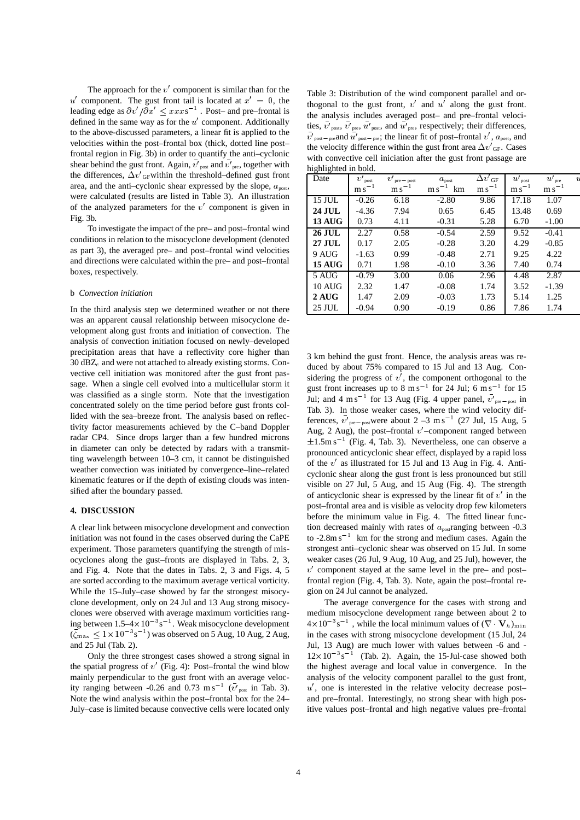The approach for the  $v'$  component is similar than for the u' component. The gust front tail is located at  $x' = 0$ , the leading edge as  $\partial v'/\partial x' \leq xxxs^{-1}$ . Post– and pre–frontal is defined in the same way as for the  $u'$  component. Additionally to the above-discussed parameters, a linear fit is applied to the velocities within the post–frontal box (thick, dotted line post– frontal region in Fig. 3b) in order to quantify the anti–cyclonic shear behind the gust front. Again,  $v'_{\text{post}}$  and  $v'_{\text{pre}}$ , together with the differences,  $\Delta v'_{\text{GF}}$  within the threshold–defined gust front area, and the anti-cyclonic shear expressed by the slope,  $a_{\text{post}}$ , were calculated (results are listed in Table 3). An illustration of the analyzed parameters for the  $v'$  component is given in Fig. 3b.

To investigate the impact of the pre– and post–frontal wind conditions in relation to the misocyclone development (denoted as part 3), the averaged pre– and post–frontal wind velocities and directions were calculated within the pre– and post–frontal boxes, respectively.

## b *Convection initiation*

In the third analysis step we determined weather or not there was an apparent causal relationship between misocyclone development along gust fronts and initiation of convection. The analysis of convection initiation focused on newly–developed precipitation areas that have a reflectivity core higher than 30  $dBZ<sub>e</sub>$  and were not attached to already existing storms. Convective cell initiation was monitored after the gust front passage. When a single cell evolved into a multicellular storm it was classified as a single storm. Note that the investigation concentrated solely on the time period before gust fronts collided with the sea–breeze front. The analysis based on reflectivity factor measurements achieved by the C–band Doppler radar CP4. Since drops larger than a few hundred microns in diameter can only be detected by radars with a transmitting wavelength between 10–3 cm, it cannot be distinguished weather convection was initiated by convergence–line–related kinematic features or if the depth of existing clouds was intensified after the boundary passed.

#### **4. DISCUSSION**

A clear link between misocyclone development and convection initiation was not found in the cases observed during the CaPE experiment. Those parameters quantifying the strength of misocyclones along the gust–fronts are displayed in Tabs. 2, 3, and Fig. 4. Note that the dates in Tabs. 2, 3 and Figs. 4, 5 are sorted according to the maximum average vertical vorticity. While the 15–July–case showed by far the strongest misocyclone development, only on 24 Jul and 13 Aug strong misocyclones were observed with average maximum vorticities ranging between  $1.5-4 \times 10^{-3}$  s<sup>-1</sup>. Weak misocyclone development  $(\zeta_{\text{max}} \leq 1 \times 10^{-3} \text{s}^{-1})$  was observed on 5 Aug, 10 Aug, 2 Aug, and 25 Jul (Tab. 2).

Only the three strongest cases showed a strong signal in the spatial progress of  $v'$  (Fig. 4): Post–frontal the wind blow mainly perpendicular to the gust front with an average velocity ranging between -0.26 and 0.73 m s<sup>-1</sup> ( $\overline{v'}_{\text{post}}$  in Tab. 3). Note the wind analysis within the post–frontal box for the 24– July–case is limited because convective cells were located only

Table 3: Distribution of the wind component parallel and orthogonal to the gust front,  $v'$  and  $u'$  along the gust front. the analysis includes averaged post– and pre–frontal velocities,  $v'_{\text{post}}$ ,  $v'_{\text{pre}}$ ,  $u'_{\text{post}}$ , and  $u'_{\text{pre}}$ , respectively; their differences,  $\overline{v'}_{\text{post-pre}}$  and  $\overline{u'}_{\text{post-pre}}$ ; the linear fit of post–frontal  $v'$ ,  $a_{\text{post}}$ , and the velocity difference within the gust front area  $\Delta v'_{\text{GF}}$ . Cases with convective cell iniciation after the gust front passage are highlighted in bold.

| Date          | v'<br>post     | v'<br>$pre - post$ | $a_{\text{post}}$ | $\overline{\Delta v}'_{\text{GF}}$ | $\bar{u'}_{\rm post}$ | $\bar{u'}_{\rm pre}$ | L |
|---------------|----------------|--------------------|-------------------|------------------------------------|-----------------------|----------------------|---|
|               | m <sub>s</sub> | m s                | km<br>$ms^{-}$    | $\mathrm{m\,s}^{-1}$               | $ms^{-1}$             | m s                  |   |
| 15 JUL        | $-0.26$        | 6.18               | $-2.80$           | 9.86                               | 17.18                 | 1.07                 |   |
| <b>24 JUL</b> | $-4.36$        | 7.94               | 0.65              | 6.45                               | 13.48                 | 0.69                 |   |
| <b>13 AUG</b> | 0.73           | 4.11               | $-0.31$           | 5.28                               | 6.70                  | $-1.00$              |   |
| 26 JUL        | 2.27           | 0.58               | $-0.54$           | 2.59                               | 9.52                  | $-0.41$              |   |
| <b>27 JUL</b> | 0.17           | 2.05               | $-0.28$           | 3.20                               | 4.29                  | $-0.85$              |   |
| 9 AUG         | $-1.63$        | 0.99               | $-0.48$           | 2.71                               | 9.25                  | 4.22                 |   |
| <b>15 AUG</b> | 0.71           | 1.98               | $-0.10$           | 3.36                               | 7.40                  | 0.74                 |   |
| 5 AUG         | $-0.79$        | 3.00               | 0.06              | 2.96                               | 4.48                  | 2.87                 |   |
| <b>10 AUG</b> | 2.32           | 1.47               | $-0.08$           | 1.74                               | 3.52                  | $-1.39$              |   |
| 2 AUG         | 1.47           | 2.09               | $-0.03$           | 1.73                               | 5.14                  | 1.25                 |   |
| 25 JUL        | $-0.94$        | 0.90               | $-0.19$           | 0.86                               | 7.86                  | 1.74                 |   |

3 km behind the gust front. Hence, the analysis areas was reduced by about 75% compared to 15 Jul and 13 Aug. Considering the progress of  $v'$ , the component orthogonal to the gust front increases up to  $8 \text{ m s}^{-1}$  for 24 Jul; 6 m s<sup>-1</sup> for 15 Jul; and 4 m s<sup>-1</sup> for 13 Aug (Fig. 4 upper panel,  $\overline{v'}_{\text{pre-post}}$  in Tab. 3). In those weaker cases, where the wind velocity differences,  $v'_{\text{pre-post}}$  were about  $2 - 3$  m s<sup>-1</sup> (27 Jul, 15 Aug, 5) Aug, 2 Aug), the post–frontal  $v'$ –component ranged between  $\pm 1.5$ m s<sup>-1</sup> (Fig. 4, Tab. 3). Nevertheless, one can observe a pronounced anticyclonic shear effect, displayed by a rapid loss of the  $v'$  as illustrated for 15 Jul and 13 Aug in Fig. 4. Anticyclonic shear along the gust front is less pronounced but still visible on 27 Jul, 5 Aug, and 15 Aug (Fig. 4). The strength of anticyclonic shear is expressed by the linear fit of  $v'$  in the post–frontal area and is visible as velocity drop few kilometers before the minimum value in Fig. 4. The fitted linear function decreased mainly with rates of  $a_{\text{post}}$  ranging between -0.3 to  $-2.8$ m s<sup>-1</sup> km for the strong and medium cases. Again the strongest anti–cyclonic shear was observed on 15 Jul. In some weaker cases (26 Jul, 9 Aug, 10 Aug, and 25 Jul), however, the  $v'$  component stayed at the same level in the pre– and post– frontal region (Fig. 4, Tab. 3). Note, again the post–frontal region on 24 Jul cannot be analyzed.

The average convergence for the cases with strong and medium misocyclone development range between about 2 to  $4 \times 10^{-3}$  s<sup>-1</sup>, while the local minimum values of  $(\nabla \cdot \mathbf{V}_h)_{\text{min}}$ in the cases with strong misocyclone development (15 Jul, 24 Jul, 13 Aug) are much lower with values between -6 and -  $12 \times 10^{-3}$  s<sup>-1</sup> (Tab. 2). Again, the 15-Jul-case showed both the highest average and local value in convergence. In the analysis of the velocity component parallel to the gust front,  $u'$ , one is interested in the relative velocity decrease postand pre–frontal. Interestingly, no strong shear with high positive values post–frontal and high negative values pre–frontal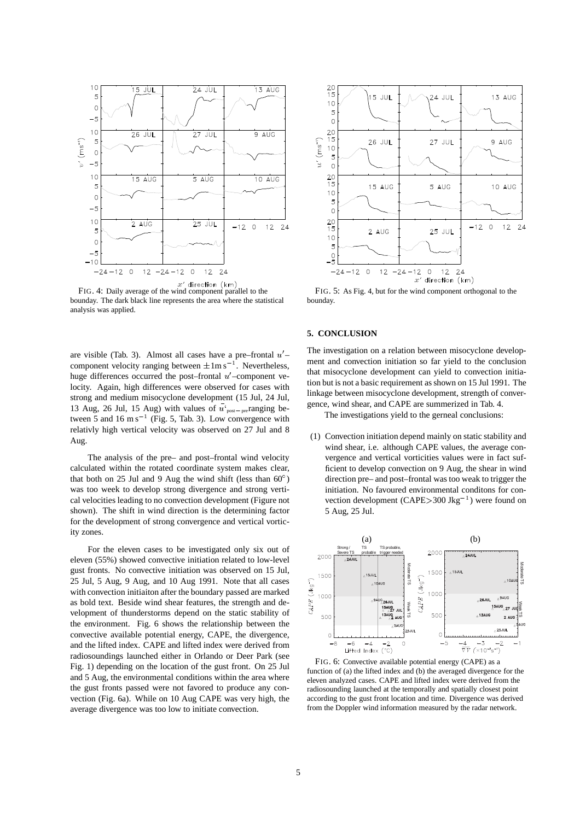

 $x'$  direction (km)<br>FIG. 4: Daily average of the wind component parallel to the bounday. The dark black line represents the area where the statistical analysis was applied.

are visible (Tab. 3). Almost all cases have a pre–frontal  $u'$ – component velocity ranging between  $\pm 1$ m s<sup>-1</sup>. Nevertheless, huge differences occurred the post–frontal  $u'$ –component velocity. Again, high differences were observed for cases with strong and medium misocyclone development (15 Jul, 24 Jul, 13 Aug, 26 Jul, 15 Aug) with values of  $u'_{post-pre}$  ranging between 5 and  $16 \text{ m s}^{-1}$  (Fig. 5, Tab. 3). Low convergence with relativly high vertical velocity was observed on 27 Jul and 8 Aug.

The analysis of the pre– and post–frontal wind velocity calculated within the rotated coordinate system makes clear, that both on 25 Jul and 9 Aug the wind shift (less than  $60^{\circ}$ ) was too week to develop strong divergence and strong vertical velocities leading to no convection development (Figure not shown). The shift in wind direction is the determining factor for the development of strong convergence and vertical vorticity zones.

For the eleven cases to be investigated only six out of eleven (55%) showed convective initiation related to low-level gust fronts. No convective initiation was observed on 15 Jul, 25 Jul, 5 Aug, 9 Aug, and 10 Aug 1991. Note that all cases with convection initiaiton after the boundary passed are marked as bold text. Beside wind shear features, the strength and development of thunderstorms depend on the static stability of the environment. Fig. 6 shows the relationship between the convective available potential energy, CAPE, the divergence, and the lifted index. CAPE and lifted index were derived from radiosoundings launched either in Orlando or Deer Park (see Fig. 1) depending on the location of the gust front. On 25 Jul and 5 Aug, the environmental conditions within the area where the gust fronts passed were not favored to produce any convection (Fig. 6a). While on 10 Aug CAPE was very high, the average divergence was too low to initiate convection.



FIG. 5: As Fig. 4, but for the wind component orthogonal to the bounday.

#### **5. CONCLUSION**

The investigation on a relation between misocyclone development and convection initiation so far yield to the conclusion that misocyclone development can yield to convection initiation but is not a basic requirement as shown on 15 Jul 1991. The linkage between misocyclone development, strength of convergence, wind shear, and CAPE are summerized in Tab. 4.

The investigations yield to the gerneal conclusions:

(1) Convection initiation depend mainly on static stability and wind shear, i.e. although CAPE values, the average convergence and vertical vorticities values were in fact sufficient to develop convection on 9 Aug, the shear in wind direction pre– and post–frontal was too weak to trigger the initiation. No favoured environmental conditons for convection development  $(CAPE > 300 \text{ Jkg}^{-1})$  were found on 5 Aug, 25 Jul.



function of (a) the lifted index and (b) the averaged divergence for the eleven analyzed cases. CAPE and lifted index were derived from the radiosounding launched at the temporally and spatially closest point according to the gust front location and time. Divergence was derived from the Doppler wind information measured by the radar network.